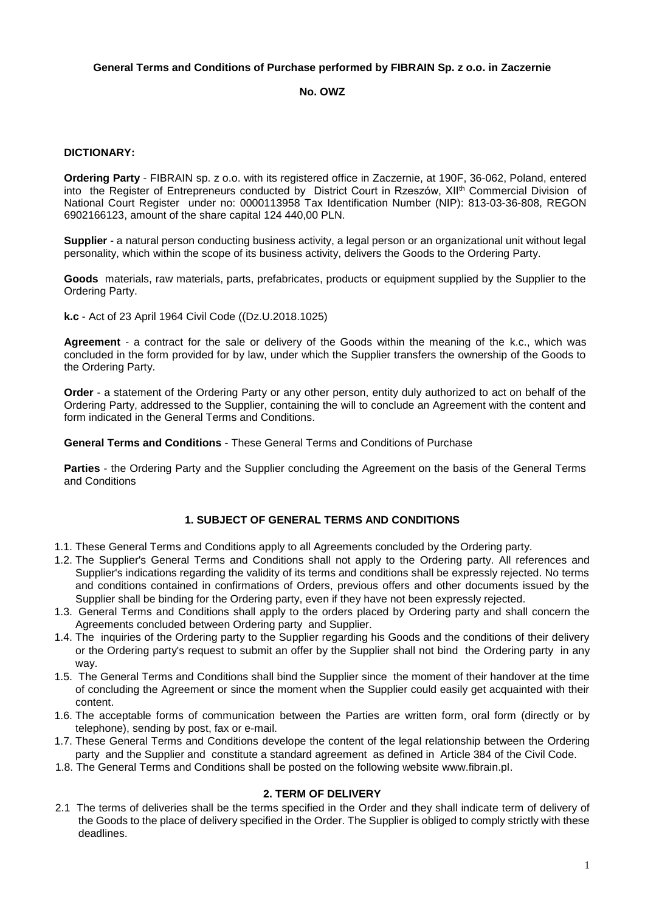# **General Terms and Conditions of Purchase performed by FIBRAIN Sp. z o.o. in Zaczernie**

## **No. OWZ**

### **DICTIONARY:**

**Ordering Party** - FIBRAIN sp. z o.o. with its registered office in Zaczernie, at 190F, 36-062, Poland, entered into the Register of Entrepreneurs conducted by District Court in Rzeszów, XII<sup>th</sup> Commercial Division of National Court Register under no: 0000113958 Tax Identification Number (NIP): 813-03-36-808, REGON 6902166123, amount of the share capital 124 440,00 PLN.

**Supplier** - a natural person conducting business activity, a legal person or an organizational unit without legal personality, which within the scope of its business activity, delivers the Goods to the Ordering Party.

**Goods** materials, raw materials, parts, prefabricates, products or equipment supplied by the Supplier to the Ordering Party.

**k.c** - Act of 23 April 1964 Civil Code ((Dz.U.2018.1025)

**Agreement** - a contract for the sale or delivery of the Goods within the meaning of the k.c., which was concluded in the form provided for by law, under which the Supplier transfers the ownership of the Goods to the Ordering Party.

**Order** - a statement of the Ordering Party or any other person, entity duly authorized to act on behalf of the Ordering Party, addressed to the Supplier, containing the will to conclude an Agreement with the content and form indicated in the General Terms and Conditions.

**General Terms and Conditions** - These General Terms and Conditions of Purchase

**Parties** - the Ordering Party and the Supplier concluding the Agreement on the basis of the General Terms and Conditions

### **1. SUBJECT OF GENERAL TERMS AND CONDITIONS**

- 1.1. These General Terms and Conditions apply to all Agreements concluded by the Ordering party.
- 1.2. The Supplier's General Terms and Conditions shall not apply to the Ordering party. All references and Supplier's indications regarding the validity of its terms and conditions shall be expressly rejected. No terms and conditions contained in confirmations of Orders, previous offers and other documents issued by the Supplier shall be binding for the Ordering party, even if they have not been expressly rejected.
- 1.3. General Terms and Conditions shall apply to the orders placed by Ordering party and shall concern the Agreements concluded between Ordering party and Supplier.
- 1.4. The inquiries of the Ordering party to the Supplier regarding his Goods and the conditions of their delivery or the Ordering party's request to submit an offer by the Supplier shall not bind the Ordering party in any way.
- 1.5. The General Terms and Conditions shall bind the Supplier since the moment of their handover at the time of concluding the Agreement or since the moment when the Supplier could easily get acquainted with their content.
- 1.6. The acceptable forms of communication between the Parties are written form, oral form (directly or by telephone), sending by post, fax or e-mail.
- 1.7. These General Terms and Conditions develope the content of the legal relationship between the Ordering party and the Supplier and constitute a standard agreement as defined in Article 384 of the Civil Code.
- 1.8. The General Terms and Conditions shall be posted on the following website www.fibrain.pl.

#### **2. TERM OF DELIVERY**

2.1 The terms of deliveries shall be the terms specified in the Order and they shall indicate term of delivery of the Goods to the place of delivery specified in the Order. The Supplier is obliged to comply strictly with these deadlines.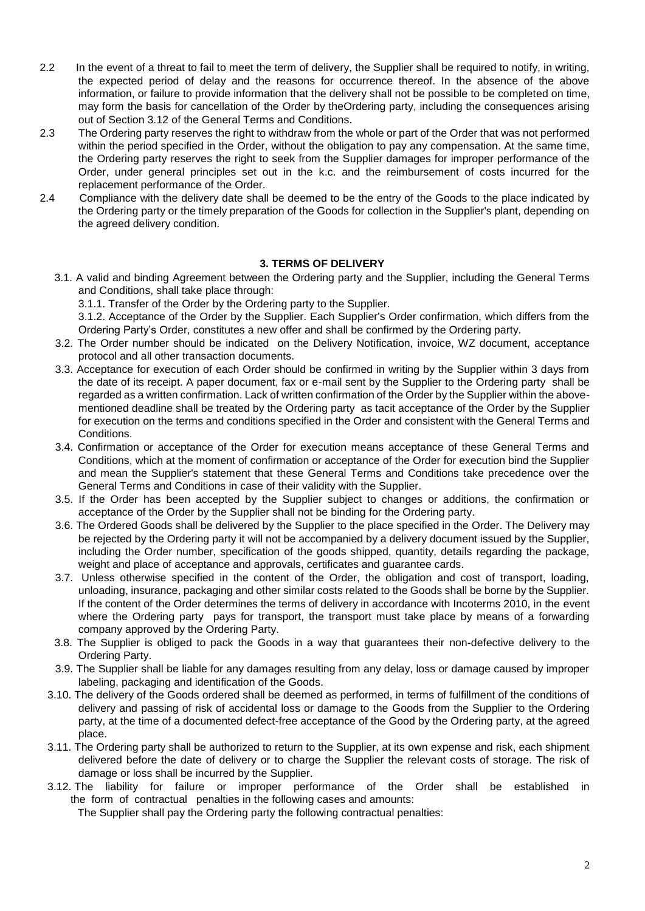- 2.2 In the event of a threat to fail to meet the term of delivery, the Supplier shall be required to notify, in writing, the expected period of delay and the reasons for occurrence thereof. In the absence of the above information, or failure to provide information that the delivery shall not be possible to be completed on time, may form the basis for cancellation of the Order by theOrdering party, including the consequences arising out of Section 3.12 of the General Terms and Conditions.
- 2.3 The Ordering party reserves the right to withdraw from the whole or part of the Order that was not performed within the period specified in the Order, without the obligation to pay any compensation. At the same time, the Ordering party reserves the right to seek from the Supplier damages for improper performance of the Order, under general principles set out in the k.c. and the reimbursement of costs incurred for the replacement performance of the Order.
- 2.4 Compliance with the delivery date shall be deemed to be the entry of the Goods to the place indicated by the Ordering party or the timely preparation of the Goods for collection in the Supplier's plant, depending on the agreed delivery condition.

# **3. TERMS OF DELIVERY**

- 3.1. A valid and binding Agreement between the Ordering party and the Supplier, including the General Terms and Conditions, shall take place through:
	- 3.1.1. Transfer of the Order by the Ordering party to the Supplier.

3.1.2. Acceptance of the Order by the Supplier. Each Supplier's Order confirmation, which differs from the Ordering Party's Order, constitutes a new offer and shall be confirmed by the Ordering party.

- 3.2. The Order number should be indicated on the Delivery Notification, invoice, WZ document, acceptance protocol and all other transaction documents.
- 3.3. Acceptance for execution of each Order should be confirmed in writing by the Supplier within 3 days from the date of its receipt. A paper document, fax or e-mail sent by the Supplier to the Ordering party shall be regarded as a written confirmation. Lack of written confirmation of the Order by the Supplier within the abovementioned deadline shall be treated by the Ordering party as tacit acceptance of the Order by the Supplier for execution on the terms and conditions specified in the Order and consistent with the General Terms and Conditions.
- 3.4. Confirmation or acceptance of the Order for execution means acceptance of these General Terms and Conditions, which at the moment of confirmation or acceptance of the Order for execution bind the Supplier and mean the Supplier's statement that these General Terms and Conditions take precedence over the General Terms and Conditions in case of their validity with the Supplier.
- 3.5. If the Order has been accepted by the Supplier subject to changes or additions, the confirmation or acceptance of the Order by the Supplier shall not be binding for the Ordering party.
- 3.6. The Ordered Goods shall be delivered by the Supplier to the place specified in the Order. The Delivery may be rejected by the Ordering party it will not be accompanied by a delivery document issued by the Supplier, including the Order number, specification of the goods shipped, quantity, details regarding the package, weight and place of acceptance and approvals, certificates and guarantee cards.
- 3.7. Unless otherwise specified in the content of the Order, the obligation and cost of transport, loading, unloading, insurance, packaging and other similar costs related to the Goods shall be borne by the Supplier. If the content of the Order determines the terms of delivery in accordance with Incoterms 2010, in the event where the Ordering party pays for transport, the transport must take place by means of a forwarding company approved by the Ordering Party.
- 3.8. The Supplier is obliged to pack the Goods in a way that guarantees their non-defective delivery to the Ordering Party.
- 3.9. The Supplier shall be liable for any damages resulting from any delay, loss or damage caused by improper labeling, packaging and identification of the Goods.
- 3.10. The delivery of the Goods ordered shall be deemed as performed, in terms of fulfillment of the conditions of delivery and passing of risk of accidental loss or damage to the Goods from the Supplier to the Ordering party, at the time of a documented defect-free acceptance of the Good by the Ordering party, at the agreed place.
- 3.11. The Ordering party shall be authorized to return to the Supplier, at its own expense and risk, each shipment delivered before the date of delivery or to charge the Supplier the relevant costs of storage. The risk of damage or loss shall be incurred by the Supplier.
- 3.12. The liability for failure or improper performance of the Order shall be established in the form of contractual penalties in the following cases and amounts:

The Supplier shall pay the Ordering party the following contractual penalties: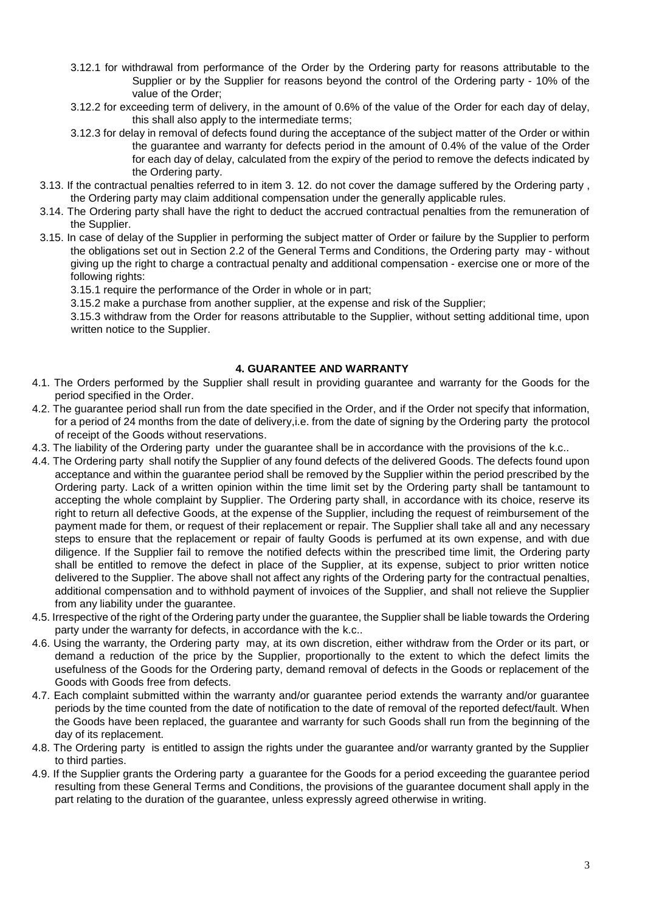- 3.12.1 for withdrawal from performance of the Order by the Ordering party for reasons attributable to the Supplier or by the Supplier for reasons beyond the control of the Ordering party - 10% of the value of the Order;
- 3.12.2 for exceeding term of delivery, in the amount of 0.6% of the value of the Order for each day of delay, this shall also apply to the intermediate terms;
- 3.12.3 for delay in removal of defects found during the acceptance of the subject matter of the Order or within the guarantee and warranty for defects period in the amount of 0.4% of the value of the Order for each day of delay, calculated from the expiry of the period to remove the defects indicated by the Ordering party.
- 3.13. If the contractual penalties referred to in item 3. 12. do not cover the damage suffered by the Ordering party , the Ordering party may claim additional compensation under the generally applicable rules.
- 3.14. The Ordering party shall have the right to deduct the accrued contractual penalties from the remuneration of the Supplier.
- 3.15. In case of delay of the Supplier in performing the subject matter of Order or failure by the Supplier to perform the obligations set out in Section 2.2 of the General Terms and Conditions, the Ordering party may - without giving up the right to charge a contractual penalty and additional compensation - exercise one or more of the following rights:
	- 3.15.1 require the performance of the Order in whole or in part;
	- 3.15.2 make a purchase from another supplier, at the expense and risk of the Supplier;

3.15.3 withdraw from the Order for reasons attributable to the Supplier, without setting additional time, upon written notice to the Supplier.

### **4. GUARANTEE AND WARRANTY**

- 4.1. The Orders performed by the Supplier shall result in providing guarantee and warranty for the Goods for the period specified in the Order.
- 4.2. The guarantee period shall run from the date specified in the Order, and if the Order not specify that information, for a period of 24 months from the date of delivery,i.e. from the date of signing by the Ordering party the protocol of receipt of the Goods without reservations.
- 4.3. The liability of the Ordering party under the guarantee shall be in accordance with the provisions of the k.c..
- 4.4. The Ordering party shall notify the Supplier of any found defects of the delivered Goods. The defects found upon acceptance and within the guarantee period shall be removed by the Supplier within the period prescribed by the Ordering party. Lack of a written opinion within the time limit set by the Ordering party shall be tantamount to accepting the whole complaint by Supplier. The Ordering party shall, in accordance with its choice, reserve its right to return all defective Goods, at the expense of the Supplier, including the request of reimbursement of the payment made for them, or request of their replacement or repair. The Supplier shall take all and any necessary steps to ensure that the replacement or repair of faulty Goods is perfumed at its own expense, and with due diligence. If the Supplier fail to remove the notified defects within the prescribed time limit, the Ordering party shall be entitled to remove the defect in place of the Supplier, at its expense, subject to prior written notice delivered to the Supplier. The above shall not affect any rights of the Ordering party for the contractual penalties, additional compensation and to withhold payment of invoices of the Supplier, and shall not relieve the Supplier from any liability under the guarantee.
- 4.5. Irrespective of the right of the Ordering party under the guarantee, the Supplier shall be liable towards the Ordering party under the warranty for defects, in accordance with the k.c..
- 4.6. Using the warranty, the Ordering party may, at its own discretion, either withdraw from the Order or its part, or demand a reduction of the price by the Supplier, proportionally to the extent to which the defect limits the usefulness of the Goods for the Ordering party, demand removal of defects in the Goods or replacement of the Goods with Goods free from defects.
- 4.7. Each complaint submitted within the warranty and/or guarantee period extends the warranty and/or guarantee periods by the time counted from the date of notification to the date of removal of the reported defect/fault. When the Goods have been replaced, the guarantee and warranty for such Goods shall run from the beginning of the day of its replacement.
- 4.8. The Ordering party is entitled to assign the rights under the guarantee and/or warranty granted by the Supplier to third parties.
- 4.9. If the Supplier grants the Ordering party a guarantee for the Goods for a period exceeding the guarantee period resulting from these General Terms and Conditions, the provisions of the guarantee document shall apply in the part relating to the duration of the guarantee, unless expressly agreed otherwise in writing.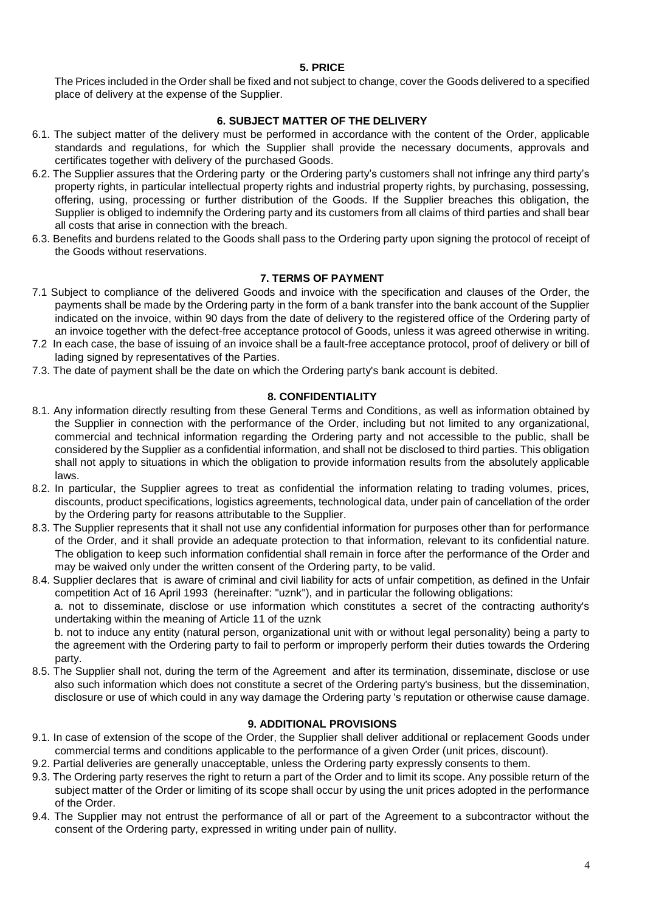### **5. PRICE**

The Prices included in the Order shall be fixed and not subject to change, cover the Goods delivered to a specified place of delivery at the expense of the Supplier.

## **6. SUBJECT MATTER OF THE DELIVERY**

- 6.1. The subject matter of the delivery must be performed in accordance with the content of the Order, applicable standards and regulations, for which the Supplier shall provide the necessary documents, approvals and certificates together with delivery of the purchased Goods.
- 6.2. The Supplier assures that the Ordering party or the Ordering party's customers shall not infringe any third party's property rights, in particular intellectual property rights and industrial property rights, by purchasing, possessing, offering, using, processing or further distribution of the Goods. If the Supplier breaches this obligation, the Supplier is obliged to indemnify the Ordering party and its customers from all claims of third parties and shall bear all costs that arise in connection with the breach.
- 6.3. Benefits and burdens related to the Goods shall pass to the Ordering party upon signing the protocol of receipt of the Goods without reservations.

# **7. TERMS OF PAYMENT**

- 7.1 Subject to compliance of the delivered Goods and invoice with the specification and clauses of the Order, the payments shall be made by the Ordering party in the form of a bank transfer into the bank account of the Supplier indicated on the invoice, within 90 days from the date of delivery to the registered office of the Ordering party of an invoice together with the defect-free acceptance protocol of Goods, unless it was agreed otherwise in writing.
- 7.2 In each case, the base of issuing of an invoice shall be a fault-free acceptance protocol, proof of delivery or bill of lading signed by representatives of the Parties.
- 7.3. The date of payment shall be the date on which the Ordering party's bank account is debited.

### **8. CONFIDENTIALITY**

- 8.1. Any information directly resulting from these General Terms and Conditions, as well as information obtained by the Supplier in connection with the performance of the Order, including but not limited to any organizational, commercial and technical information regarding the Ordering party and not accessible to the public, shall be considered by the Supplier as a confidential information, and shall not be disclosed to third parties. This obligation shall not apply to situations in which the obligation to provide information results from the absolutely applicable laws.
- 8.2. In particular, the Supplier agrees to treat as confidential the information relating to trading volumes, prices, discounts, product specifications, logistics agreements, technological data, under pain of cancellation of the order by the Ordering party for reasons attributable to the Supplier.
- 8.3. The Supplier represents that it shall not use any confidential information for purposes other than for performance of the Order, and it shall provide an adequate protection to that information, relevant to its confidential nature. The obligation to keep such information confidential shall remain in force after the performance of the Order and may be waived only under the written consent of the Ordering party, to be valid.
- 8.4. Supplier declares that is aware of criminal and civil liability for acts of unfair competition, as defined in the Unfair competition Act of 16 April 1993 (hereinafter: "uznk"), and in particular the following obligations:

a. not to disseminate, disclose or use information which constitutes a secret of the contracting authority's undertaking within the meaning of Article 11 of the uznk

b. not to induce any entity (natural person, organizational unit with or without legal personality) being a party to the agreement with the Ordering party to fail to perform or improperly perform their duties towards the Ordering party.

8.5. The Supplier shall not, during the term of the Agreement and after its termination, disseminate, disclose or use also such information which does not constitute a secret of the Ordering party's business, but the dissemination, disclosure or use of which could in any way damage the Ordering party 's reputation or otherwise cause damage.

# **9. ADDITIONAL PROVISIONS**

- 9.1. In case of extension of the scope of the Order, the Supplier shall deliver additional or replacement Goods under commercial terms and conditions applicable to the performance of a given Order (unit prices, discount).
- 9.2. Partial deliveries are generally unacceptable, unless the Ordering party expressly consents to them.
- 9.3. The Ordering party reserves the right to return a part of the Order and to limit its scope. Any possible return of the subject matter of the Order or limiting of its scope shall occur by using the unit prices adopted in the performance of the Order.
- 9.4. The Supplier may not entrust the performance of all or part of the Agreement to a subcontractor without the consent of the Ordering party, expressed in writing under pain of nullity.